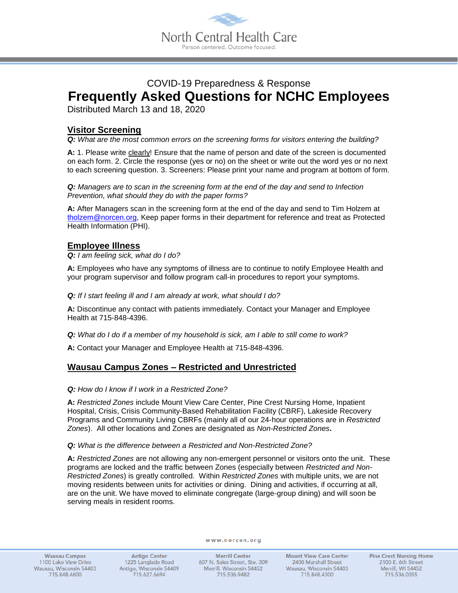

# COVID-19 Preparedness & Response **Frequently Asked Questions for NCHC Employees**

Distributed March 13 and 18, 2020

# **Visitor Screening**

*Q: What are the most common errors on the screening forms for visitors entering the building?*

A: 1. Please write clearly! Ensure that the name of person and date of the screen is documented on each form. 2. Circle the response (yes or no) on the sheet or write out the word yes or no next to each screening question. 3. Screeners: Please print your name and program at bottom of form.

*Q: Managers are to scan in the screening form at the end of the day and send to Infection Prevention, what should they do with the paper forms?*

**A:** After Managers scan in the screening form at the end of the day and send to Tim Holzem at [tholzem@norcen.org,](mailto:tholzem@norcen.org) Keep paper forms in their department for reference and treat as Protected Health Information (PHI).

### **Employee Illness**

*Q: I am feeling sick, what do I do?*

**A:** Employees who have any symptoms of illness are to continue to notify Employee Health and your program supervisor and follow program call-in procedures to report your symptoms.

*Q: If I start feeling ill and I am already at work, what should I do?*

**A:** Discontinue any contact with patients immediately. Contact your Manager and Employee Health at 715-848-4396.

*Q: What do I do if a member of my household is sick, am I able to still come to work?*

**A:** Contact your Manager and Employee Health at 715-848-4396.

### **Wausau Campus Zones – Restricted and Unrestricted**

#### *Q: How do I know if I work in a Restricted Zone?*

**A:** *Restricted Zones* include Mount View Care Center, Pine Crest Nursing Home, Inpatient Hospital, Crisis, Crisis Community-Based Rehabilitation Facility (CBRF), Lakeside Recovery Programs and Community Living CBRFs (mainly all of our 24-hour operations are in *Restricted Zones*). All other locations and Zones are designated as *Non-Restricted Zones***.**

#### *Q: What is the difference between a Restricted and Non-Restricted Zone?*

**A:** *Restricted Zones* are not allowing any non-emergent personnel or visitors onto the unit. These programs are locked and the traffic between Zones (especially between *Restricted and Non-Restricted Zones*) is greatly controlled. Within *Restricted Zones* with multiple units, we are not moving residents between units for activities or dining. Dining and activities, if occurring at all, are on the unit. We have moved to eliminate congregate (large-group dining) and will soon be serving meals in resident rooms.

**Wausau Campus** 1100 Lake View Drive Wausau, Wisconsin 54403 715.848.4600

**Antigo Center** 1225 Langlade Road Antigo, Wisconsin 54409 715.627.6694

www.norcen.org

**Merrill Center** 607 N. Sales Street, Ste. 309 Merrill, Wisconsin 54452 715.536.9482

**Mount View Care Center** 2400 Marshall Street Wausau, Wisconsin 54403 715.848.4300

**Pine Crest Nursing Home** 2100 E. 6th Street Merrill, WI 54452 715.536.0355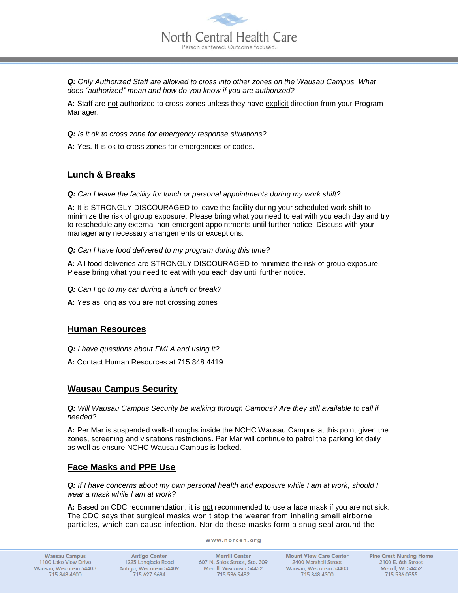

*Q: Only Authorized Staff are allowed to cross into other zones on the Wausau Campus. What does "authorized" mean and how do you know if you are authorized?*

**A:** Staff are not authorized to cross zones unless they have explicit direction from your Program Manager.

*Q: Is it ok to cross zone for emergency response situations?*

**A:** Yes. It is ok to cross zones for emergencies or codes.

## **Lunch & Breaks**

*Q: Can I leave the facility for lunch or personal appointments during my work shift?*

**A:** It is STRONGLY DISCOURAGED to leave the facility during your scheduled work shift to minimize the risk of group exposure. Please bring what you need to eat with you each day and try to reschedule any external non-emergent appointments until further notice. Discuss with your manager any necessary arrangements or exceptions.

*Q: Can I have food delivered to my program during this time?*

**A:** All food deliveries are STRONGLY DISCOURAGED to minimize the risk of group exposure. Please bring what you need to eat with you each day until further notice.

*Q: Can I go to my car during a lunch or break?*

**A:** Yes as long as you are not crossing zones

### **Human Resources**

*Q: I have questions about FMLA and using it?*

**A:** Contact Human Resources at 715.848.4419.

### **Wausau Campus Security**

*Q: Will Wausau Campus Security be walking through Campus? Are they still available to call if needed?*

**A:** Per Mar is suspended walk-throughs inside the NCHC Wausau Campus at this point given the zones, screening and visitations restrictions. Per Mar will continue to patrol the parking lot daily as well as ensure NCHC Wausau Campus is locked.

### **Face Masks and PPE Use**

*Q: If I have concerns about my own personal health and exposure while I am at work, should I wear a mask while I am at work?*

**A:** Based on CDC recommendation, it is not recommended to use a face mask if you are not sick. The CDC says that surgical masks won't stop the wearer from inhaling small airborne particles, which can cause infection. Nor do these masks form a snug seal around the

www.norcen.org

**Antigo Center** 1225 Langlade Road Antigo, Wisconsin 54409 715.627.6694

**Merrill Center** 607 N. Sales Street, Ste. 309 Merrill, Wisconsin 54452 715.536.9482

**Mount View Care Center** 2400 Marshall Street Wausau, Wisconsin 54403 715.848.4300